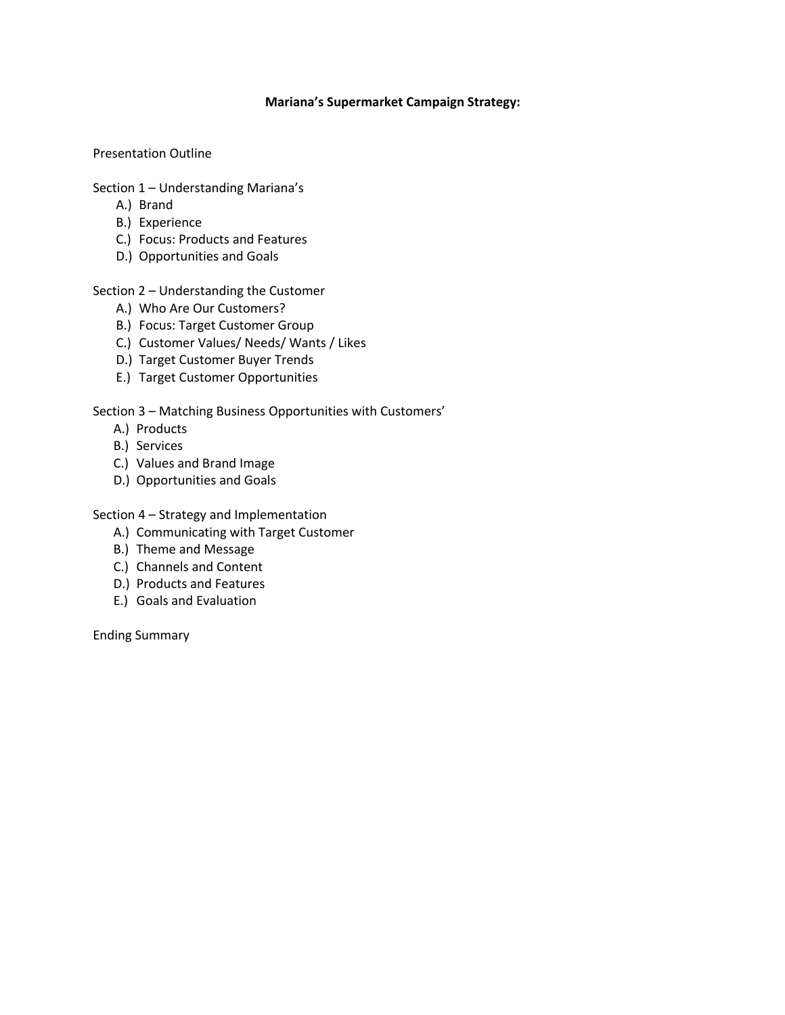## **Mariana's Supermarket Campaign Strategy:**

Presentation Outline

- Section 1 Understanding Mariana's
	- A.) Brand
	- B.) Experience
	- C.) Focus: Products and Features
	- D.) Opportunities and Goals

Section 2 – Understanding the Customer

- A.) Who Are Our Customers?
- B.) Focus: Target Customer Group
- C.) Customer Values/ Needs/ Wants / Likes
- D.) Target Customer Buyer Trends
- E.) Target Customer Opportunities

Section 3 – Matching Business Opportunities with Customers'

- A.) Products
- B.) Services
- C.) Values and Brand Image
- D.) Opportunities and Goals

Section 4 – Strategy and Implementation

- A.) Communicating with Target Customer
- B.) Theme and Message
- C.) Channels and Content
- D.) Products and Features
- E.) Goals and Evaluation

Ending Summary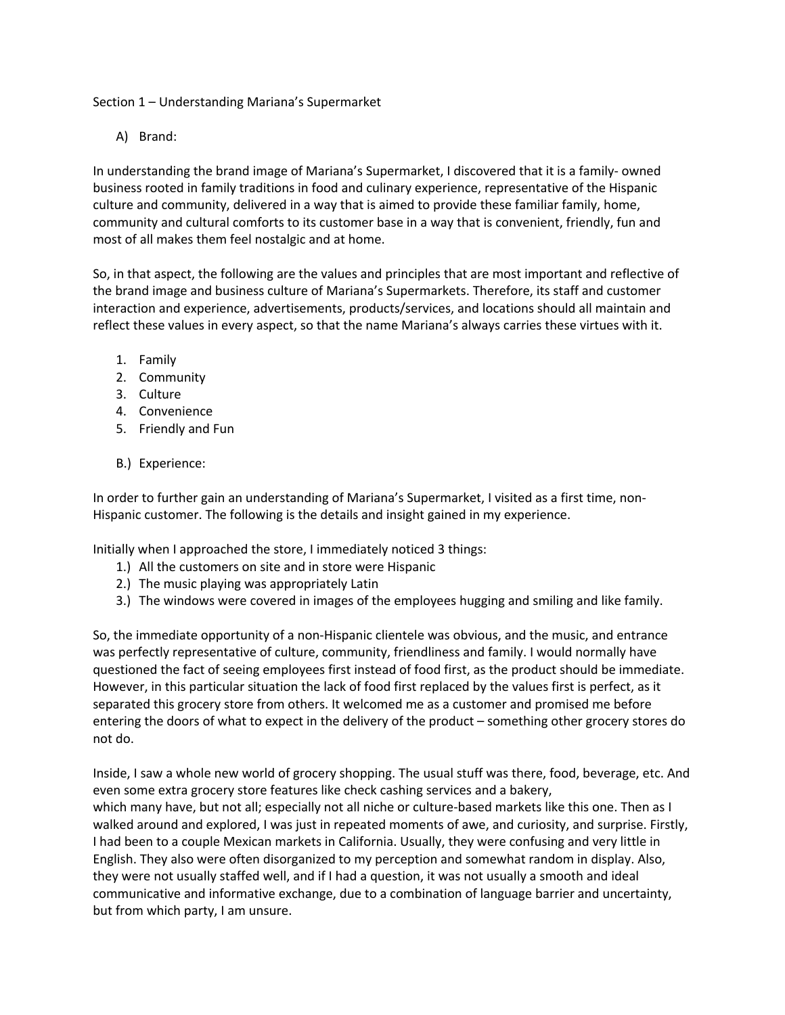Section 1 – Understanding Mariana's Supermarket

A) Brand:

In understanding the brand image of Mariana's Supermarket, I discovered that it is a family- owned business rooted in family traditions in food and culinary experience, representative of the Hispanic culture and community, delivered in a way that is aimed to provide these familiar family, home, community and cultural comforts to its customer base in a way that is convenient, friendly, fun and most of all makes them feel nostalgic and at home.

So, in that aspect, the following are the values and principles that are most important and reflective of the brand image and business culture of Mariana's Supermarkets. Therefore, its staff and customer interaction and experience, advertisements, products/services, and locations should all maintain and reflect these values in every aspect, so that the name Mariana's always carries these virtues with it.

- 1. Family
- 2. Community
- 3. Culture
- 4. Convenience
- 5. Friendly and Fun
- B.) Experience:

In order to further gain an understanding of Mariana's Supermarket, I visited as a first time, non-Hispanic customer. The following is the details and insight gained in my experience.

Initially when I approached the store, I immediately noticed 3 things:

- 1.) All the customers on site and in store were Hispanic
- 2.) The music playing was appropriately Latin
- 3.) The windows were covered in images of the employees hugging and smiling and like family.

So, the immediate opportunity of a non-Hispanic clientele was obvious, and the music, and entrance was perfectly representative of culture, community, friendliness and family. I would normally have questioned the fact of seeing employees first instead of food first, as the product should be immediate. However, in this particular situation the lack of food first replaced by the values first is perfect, as it separated this grocery store from others. It welcomed me as a customer and promised me before entering the doors of what to expect in the delivery of the product – something other grocery stores do not do.

Inside, I saw a whole new world of grocery shopping. The usual stuff was there, food, beverage, etc. And even some extra grocery store features like check cashing services and a bakery, which many have, but not all; especially not all niche or culture-based markets like this one. Then as I walked around and explored, I was just in repeated moments of awe, and curiosity, and surprise. Firstly, I had been to a couple Mexican markets in California. Usually, they were confusing and very little in English. They also were often disorganized to my perception and somewhat random in display. Also, they were not usually staffed well, and if I had a question, it was not usually a smooth and ideal communicative and informative exchange, due to a combination of language barrier and uncertainty, but from which party, I am unsure.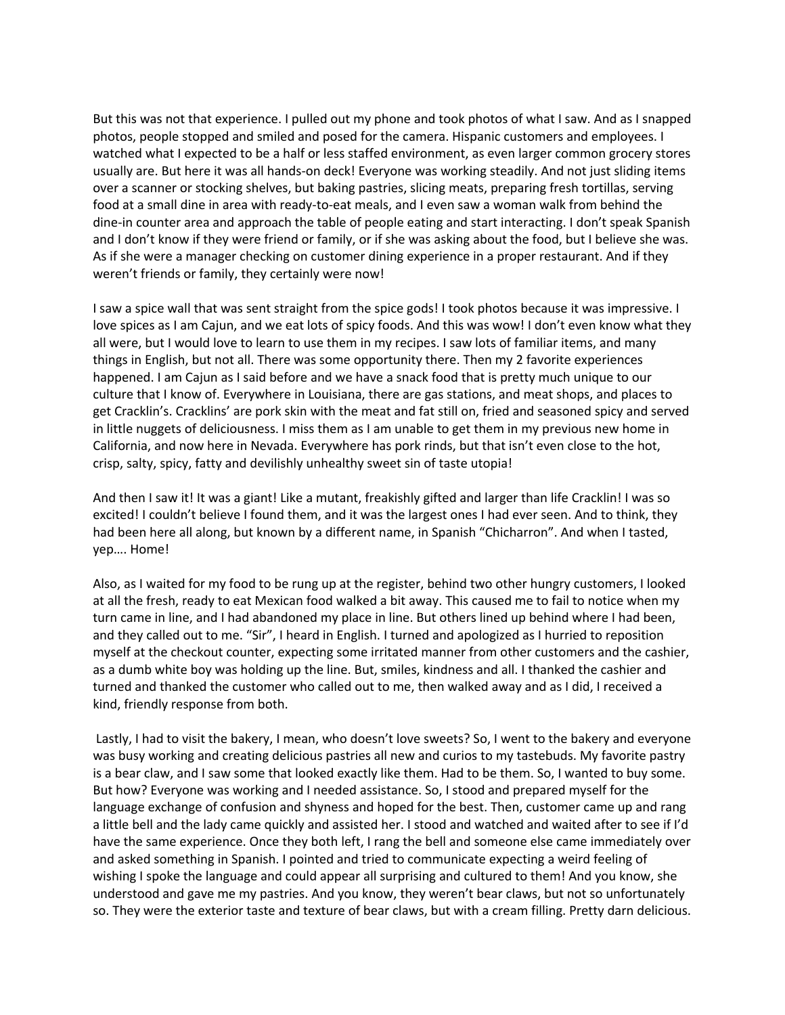But this was not that experience. I pulled out my phone and took photos of what I saw. And as I snapped photos, people stopped and smiled and posed for the camera. Hispanic customers and employees. I watched what I expected to be a half or less staffed environment, as even larger common grocery stores usually are. But here it was all hands-on deck! Everyone was working steadily. And not just sliding items over a scanner or stocking shelves, but baking pastries, slicing meats, preparing fresh tortillas, serving food at a small dine in area with ready-to-eat meals, and I even saw a woman walk from behind the dine-in counter area and approach the table of people eating and start interacting. I don't speak Spanish and I don't know if they were friend or family, or if she was asking about the food, but I believe she was. As if she were a manager checking on customer dining experience in a proper restaurant. And if they weren't friends or family, they certainly were now!

I saw a spice wall that was sent straight from the spice gods! I took photos because it was impressive. I love spices as I am Cajun, and we eat lots of spicy foods. And this was wow! I don't even know what they all were, but I would love to learn to use them in my recipes. I saw lots of familiar items, and many things in English, but not all. There was some opportunity there. Then my 2 favorite experiences happened. I am Cajun as I said before and we have a snack food that is pretty much unique to our culture that I know of. Everywhere in Louisiana, there are gas stations, and meat shops, and places to get Cracklin's. Cracklins' are pork skin with the meat and fat still on, fried and seasoned spicy and served in little nuggets of deliciousness. I miss them as I am unable to get them in my previous new home in California, and now here in Nevada. Everywhere has pork rinds, but that isn't even close to the hot, crisp, salty, spicy, fatty and devilishly unhealthy sweet sin of taste utopia!

And then I saw it! It was a giant! Like a mutant, freakishly gifted and larger than life Cracklin! I was so excited! I couldn't believe I found them, and it was the largest ones I had ever seen. And to think, they had been here all along, but known by a different name, in Spanish "Chicharron". And when I tasted, yep…. Home!

Also, as I waited for my food to be rung up at the register, behind two other hungry customers, I looked at all the fresh, ready to eat Mexican food walked a bit away. This caused me to fail to notice when my turn came in line, and I had abandoned my place in line. But others lined up behind where I had been, and they called out to me. "Sir", I heard in English. I turned and apologized as I hurried to reposition myself at the checkout counter, expecting some irritated manner from other customers and the cashier, as a dumb white boy was holding up the line. But, smiles, kindness and all. I thanked the cashier and turned and thanked the customer who called out to me, then walked away and as I did, I received a kind, friendly response from both.

Lastly, I had to visit the bakery, I mean, who doesn't love sweets? So, I went to the bakery and everyone was busy working and creating delicious pastries all new and curios to my tastebuds. My favorite pastry is a bear claw, and I saw some that looked exactly like them. Had to be them. So, I wanted to buy some. But how? Everyone was working and I needed assistance. So, I stood and prepared myself for the language exchange of confusion and shyness and hoped for the best. Then, customer came up and rang a little bell and the lady came quickly and assisted her. I stood and watched and waited after to see if I'd have the same experience. Once they both left, I rang the bell and someone else came immediately over and asked something in Spanish. I pointed and tried to communicate expecting a weird feeling of wishing I spoke the language and could appear all surprising and cultured to them! And you know, she understood and gave me my pastries. And you know, they weren't bear claws, but not so unfortunately so. They were the exterior taste and texture of bear claws, but with a cream filling. Pretty darn delicious.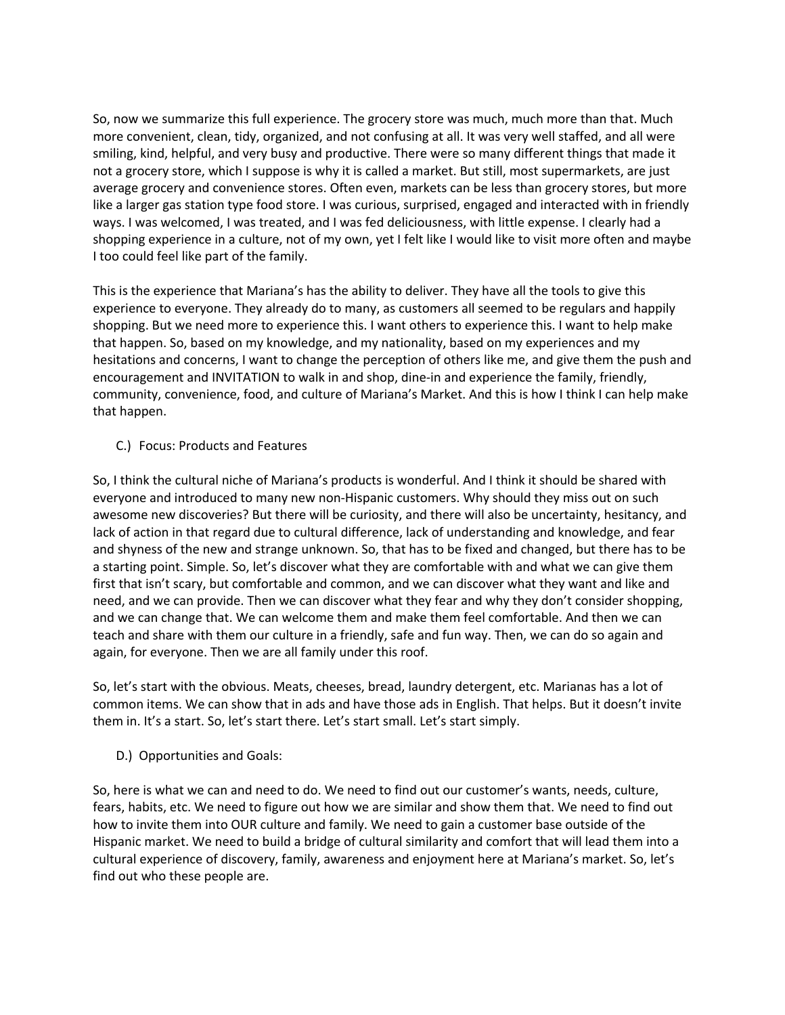So, now we summarize this full experience. The grocery store was much, much more than that. Much more convenient, clean, tidy, organized, and not confusing at all. It was very well staffed, and all were smiling, kind, helpful, and very busy and productive. There were so many different things that made it not a grocery store, which I suppose is why it is called a market. But still, most supermarkets, are just average grocery and convenience stores. Often even, markets can be less than grocery stores, but more like a larger gas station type food store. I was curious, surprised, engaged and interacted with in friendly ways. I was welcomed, I was treated, and I was fed deliciousness, with little expense. I clearly had a shopping experience in a culture, not of my own, yet I felt like I would like to visit more often and maybe I too could feel like part of the family.

This is the experience that Mariana's has the ability to deliver. They have all the tools to give this experience to everyone. They already do to many, as customers all seemed to be regulars and happily shopping. But we need more to experience this. I want others to experience this. I want to help make that happen. So, based on my knowledge, and my nationality, based on my experiences and my hesitations and concerns, I want to change the perception of others like me, and give them the push and encouragement and INVITATION to walk in and shop, dine-in and experience the family, friendly, community, convenience, food, and culture of Mariana's Market. And this is how I think I can help make that happen.

C.) Focus: Products and Features

So, I think the cultural niche of Mariana's products is wonderful. And I think it should be shared with everyone and introduced to many new non-Hispanic customers. Why should they miss out on such awesome new discoveries? But there will be curiosity, and there will also be uncertainty, hesitancy, and lack of action in that regard due to cultural difference, lack of understanding and knowledge, and fear and shyness of the new and strange unknown. So, that has to be fixed and changed, but there has to be a starting point. Simple. So, let's discover what they are comfortable with and what we can give them first that isn't scary, but comfortable and common, and we can discover what they want and like and need, and we can provide. Then we can discover what they fear and why they don't consider shopping, and we can change that. We can welcome them and make them feel comfortable. And then we can teach and share with them our culture in a friendly, safe and fun way. Then, we can do so again and again, for everyone. Then we are all family under this roof.

So, let's start with the obvious. Meats, cheeses, bread, laundry detergent, etc. Marianas has a lot of common items. We can show that in ads and have those ads in English. That helps. But it doesn't invite them in. It's a start. So, let's start there. Let's start small. Let's start simply.

D.) Opportunities and Goals:

So, here is what we can and need to do. We need to find out our customer's wants, needs, culture, fears, habits, etc. We need to figure out how we are similar and show them that. We need to find out how to invite them into OUR culture and family. We need to gain a customer base outside of the Hispanic market. We need to build a bridge of cultural similarity and comfort that will lead them into a cultural experience of discovery, family, awareness and enjoyment here at Mariana's market. So, let's find out who these people are.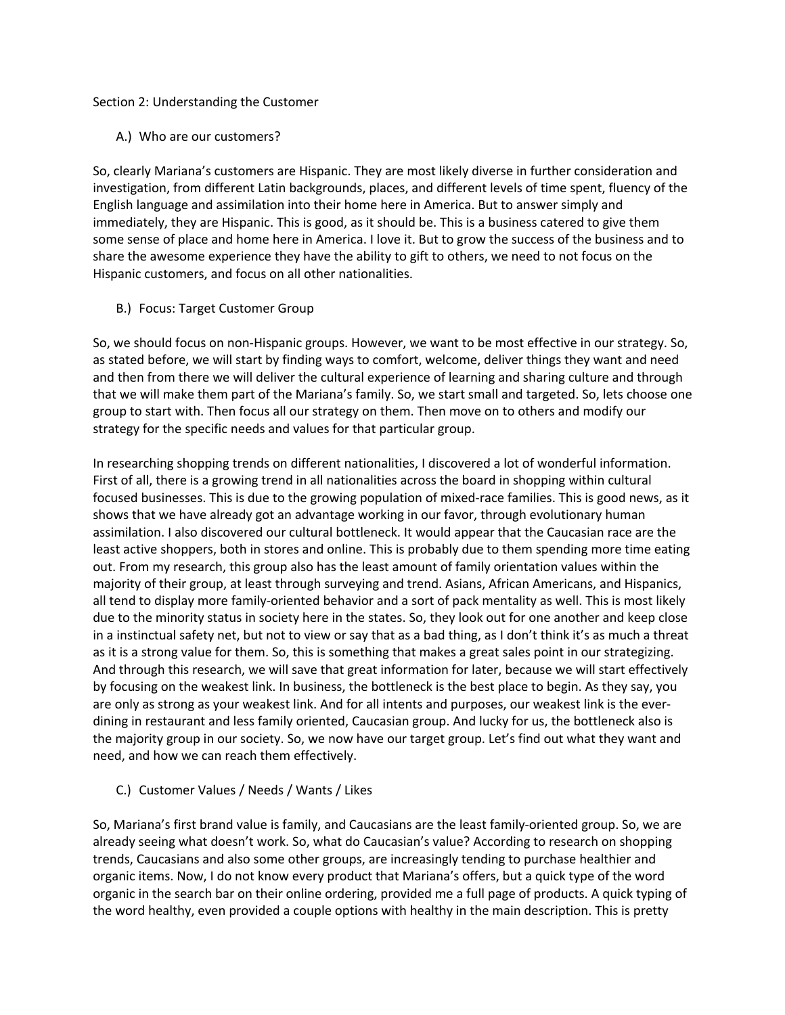#### Section 2: Understanding the Customer

A.) Who are our customers?

So, clearly Mariana's customers are Hispanic. They are most likely diverse in further consideration and investigation, from different Latin backgrounds, places, and different levels of time spent, fluency of the English language and assimilation into their home here in America. But to answer simply and immediately, they are Hispanic. This is good, as it should be. This is a business catered to give them some sense of place and home here in America. I love it. But to grow the success of the business and to share the awesome experience they have the ability to gift to others, we need to not focus on the Hispanic customers, and focus on all other nationalities.

B.) Focus: Target Customer Group

So, we should focus on non-Hispanic groups. However, we want to be most effective in our strategy. So, as stated before, we will start by finding ways to comfort, welcome, deliver things they want and need and then from there we will deliver the cultural experience of learning and sharing culture and through that we will make them part of the Mariana's family. So, we start small and targeted. So, lets choose one group to start with. Then focus all our strategy on them. Then move on to others and modify our strategy for the specific needs and values for that particular group.

In researching shopping trends on different nationalities, I discovered a lot of wonderful information. First of all, there is a growing trend in all nationalities across the board in shopping within cultural focused businesses. This is due to the growing population of mixed-race families. This is good news, as it shows that we have already got an advantage working in our favor, through evolutionary human assimilation. I also discovered our cultural bottleneck. It would appear that the Caucasian race are the least active shoppers, both in stores and online. This is probably due to them spending more time eating out. From my research, this group also has the least amount of family orientation values within the majority of their group, at least through surveying and trend. Asians, African Americans, and Hispanics, all tend to display more family-oriented behavior and a sort of pack mentality as well. This is most likely due to the minority status in society here in the states. So, they look out for one another and keep close in a instinctual safety net, but not to view or say that as a bad thing, as I don't think it's as much a threat as it is a strong value for them. So, this is something that makes a great sales point in our strategizing. And through this research, we will save that great information for later, because we will start effectively by focusing on the weakest link. In business, the bottleneck is the best place to begin. As they say, you are only as strong as your weakest link. And for all intents and purposes, our weakest link is the everdining in restaurant and less family oriented, Caucasian group. And lucky for us, the bottleneck also is the majority group in our society. So, we now have our target group. Let's find out what they want and need, and how we can reach them effectively.

## C.) Customer Values / Needs / Wants / Likes

So, Mariana's first brand value is family, and Caucasians are the least family-oriented group. So, we are already seeing what doesn't work. So, what do Caucasian's value? According to research on shopping trends, Caucasians and also some other groups, are increasingly tending to purchase healthier and organic items. Now, I do not know every product that Mariana's offers, but a quick type of the word organic in the search bar on their online ordering, provided me a full page of products. A quick typing of the word healthy, even provided a couple options with healthy in the main description. This is pretty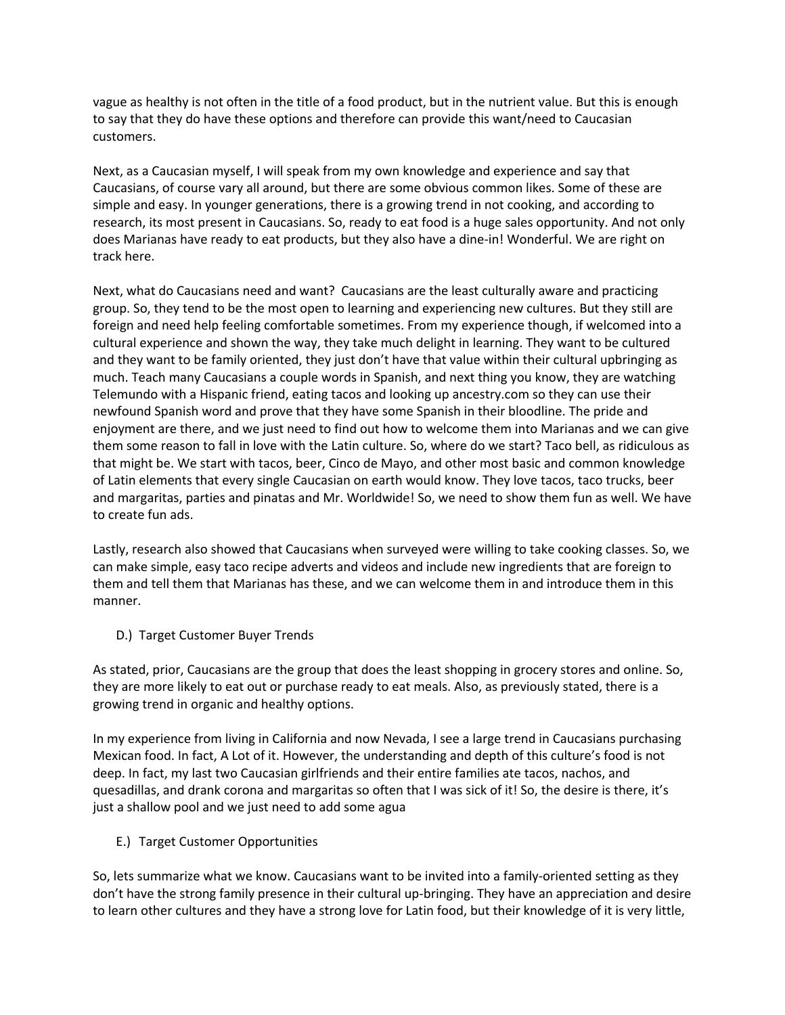vague as healthy is not often in the title of a food product, but in the nutrient value. But this is enough to say that they do have these options and therefore can provide this want/need to Caucasian customers.

Next, as a Caucasian myself, I will speak from my own knowledge and experience and say that Caucasians, of course vary all around, but there are some obvious common likes. Some of these are simple and easy. In younger generations, there is a growing trend in not cooking, and according to research, its most present in Caucasians. So, ready to eat food is a huge sales opportunity. And not only does Marianas have ready to eat products, but they also have a dine-in! Wonderful. We are right on track here.

Next, what do Caucasians need and want? Caucasians are the least culturally aware and practicing group. So, they tend to be the most open to learning and experiencing new cultures. But they still are foreign and need help feeling comfortable sometimes. From my experience though, if welcomed into a cultural experience and shown the way, they take much delight in learning. They want to be cultured and they want to be family oriented, they just don't have that value within their cultural upbringing as much. Teach many Caucasians a couple words in Spanish, and next thing you know, they are watching Telemundo with a Hispanic friend, eating tacos and looking up ancestry.com so they can use their newfound Spanish word and prove that they have some Spanish in their bloodline. The pride and enjoyment are there, and we just need to find out how to welcome them into Marianas and we can give them some reason to fall in love with the Latin culture. So, where do we start? Taco bell, as ridiculous as that might be. We start with tacos, beer, Cinco de Mayo, and other most basic and common knowledge of Latin elements that every single Caucasian on earth would know. They love tacos, taco trucks, beer and margaritas, parties and pinatas and Mr. Worldwide! So, we need to show them fun as well. We have to create fun ads.

Lastly, research also showed that Caucasians when surveyed were willing to take cooking classes. So, we can make simple, easy taco recipe adverts and videos and include new ingredients that are foreign to them and tell them that Marianas has these, and we can welcome them in and introduce them in this manner.

D.) Target Customer Buyer Trends

As stated, prior, Caucasians are the group that does the least shopping in grocery stores and online. So, they are more likely to eat out or purchase ready to eat meals. Also, as previously stated, there is a growing trend in organic and healthy options.

In my experience from living in California and now Nevada, I see a large trend in Caucasians purchasing Mexican food. In fact, A Lot of it. However, the understanding and depth of this culture's food is not deep. In fact, my last two Caucasian girlfriends and their entire families ate tacos, nachos, and quesadillas, and drank corona and margaritas so often that I was sick of it! So, the desire is there, it's just a shallow pool and we just need to add some agua

E.) Target Customer Opportunities

So, lets summarize what we know. Caucasians want to be invited into a family-oriented setting as they don't have the strong family presence in their cultural up-bringing. They have an appreciation and desire to learn other cultures and they have a strong love for Latin food, but their knowledge of it is very little,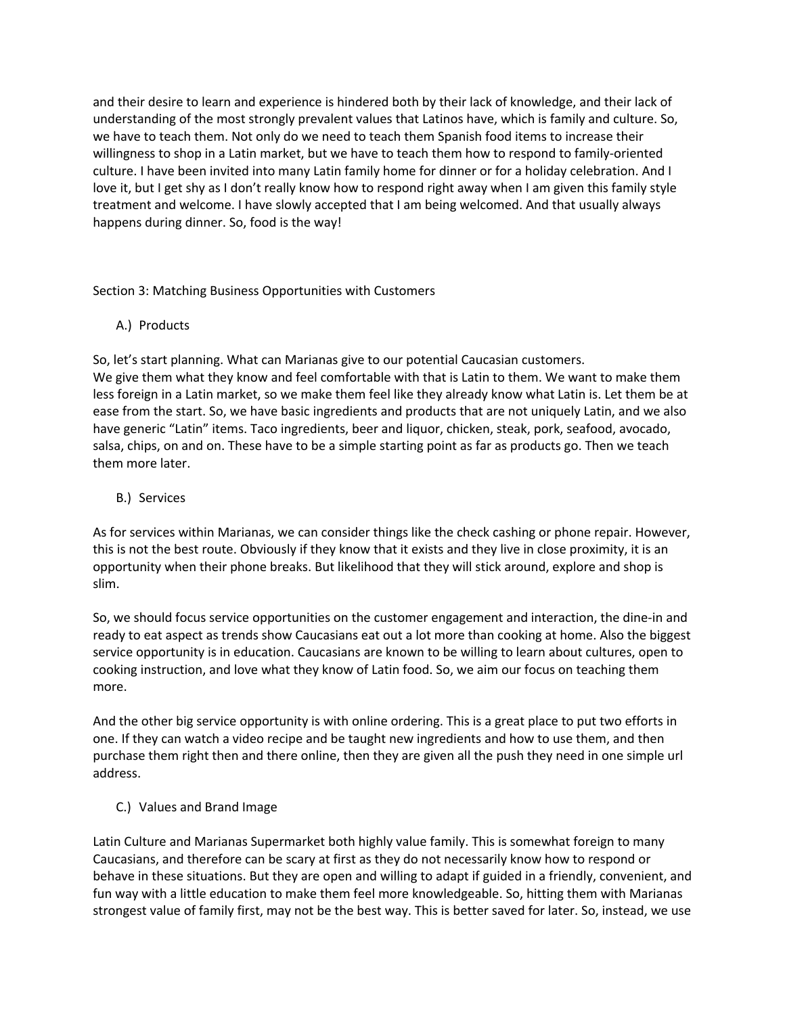and their desire to learn and experience is hindered both by their lack of knowledge, and their lack of understanding of the most strongly prevalent values that Latinos have, which is family and culture. So, we have to teach them. Not only do we need to teach them Spanish food items to increase their willingness to shop in a Latin market, but we have to teach them how to respond to family-oriented culture. I have been invited into many Latin family home for dinner or for a holiday celebration. And I love it, but I get shy as I don't really know how to respond right away when I am given this family style treatment and welcome. I have slowly accepted that I am being welcomed. And that usually always happens during dinner. So, food is the way!

Section 3: Matching Business Opportunities with Customers

A.) Products

So, let's start planning. What can Marianas give to our potential Caucasian customers. We give them what they know and feel comfortable with that is Latin to them. We want to make them less foreign in a Latin market, so we make them feel like they already know what Latin is. Let them be at ease from the start. So, we have basic ingredients and products that are not uniquely Latin, and we also have generic "Latin" items. Taco ingredients, beer and liquor, chicken, steak, pork, seafood, avocado, salsa, chips, on and on. These have to be a simple starting point as far as products go. Then we teach them more later.

B.) Services

As for services within Marianas, we can consider things like the check cashing or phone repair. However, this is not the best route. Obviously if they know that it exists and they live in close proximity, it is an opportunity when their phone breaks. But likelihood that they will stick around, explore and shop is slim.

So, we should focus service opportunities on the customer engagement and interaction, the dine-in and ready to eat aspect as trends show Caucasians eat out a lot more than cooking at home. Also the biggest service opportunity is in education. Caucasians are known to be willing to learn about cultures, open to cooking instruction, and love what they know of Latin food. So, we aim our focus on teaching them more.

And the other big service opportunity is with online ordering. This is a great place to put two efforts in one. If they can watch a video recipe and be taught new ingredients and how to use them, and then purchase them right then and there online, then they are given all the push they need in one simple url address.

C.) Values and Brand Image

Latin Culture and Marianas Supermarket both highly value family. This is somewhat foreign to many Caucasians, and therefore can be scary at first as they do not necessarily know how to respond or behave in these situations. But they are open and willing to adapt if guided in a friendly, convenient, and fun way with a little education to make them feel more knowledgeable. So, hitting them with Marianas strongest value of family first, may not be the best way. This is better saved for later. So, instead, we use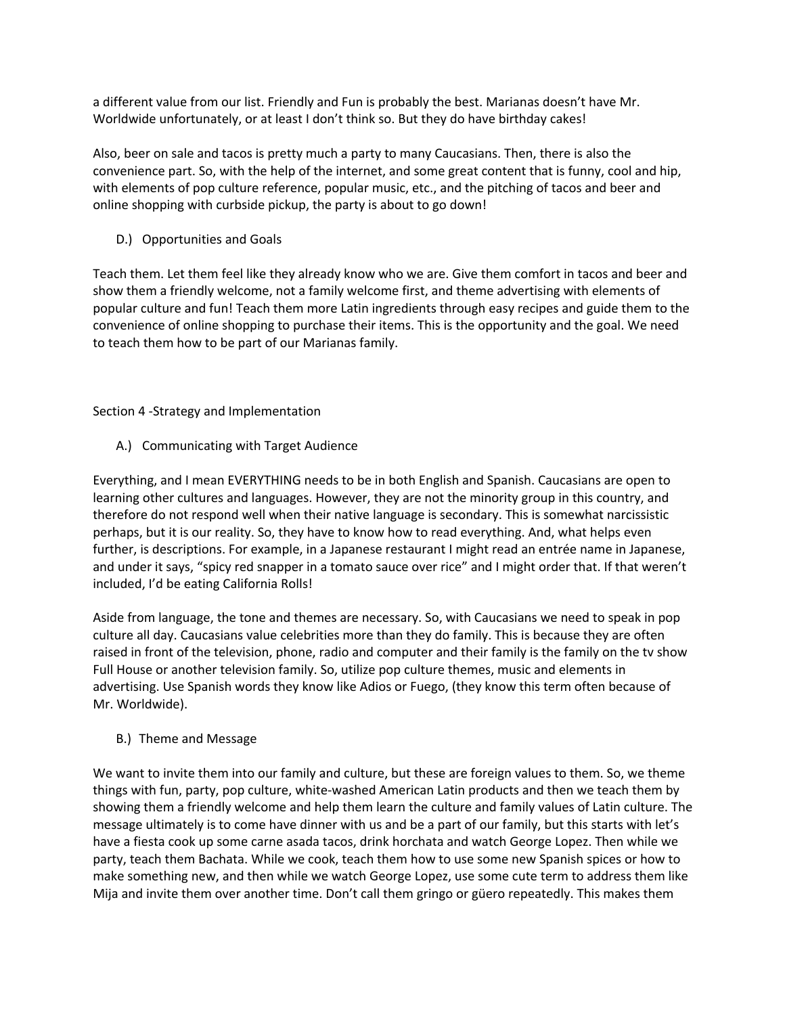a different value from our list. Friendly and Fun is probably the best. Marianas doesn't have Mr. Worldwide unfortunately, or at least I don't think so. But they do have birthday cakes!

Also, beer on sale and tacos is pretty much a party to many Caucasians. Then, there is also the convenience part. So, with the help of the internet, and some great content that is funny, cool and hip, with elements of pop culture reference, popular music, etc., and the pitching of tacos and beer and online shopping with curbside pickup, the party is about to go down!

D.) Opportunities and Goals

Teach them. Let them feel like they already know who we are. Give them comfort in tacos and beer and show them a friendly welcome, not a family welcome first, and theme advertising with elements of popular culture and fun! Teach them more Latin ingredients through easy recipes and guide them to the convenience of online shopping to purchase their items. This is the opportunity and the goal. We need to teach them how to be part of our Marianas family.

# Section 4 -Strategy and Implementation

A.) Communicating with Target Audience

Everything, and I mean EVERYTHING needs to be in both English and Spanish. Caucasians are open to learning other cultures and languages. However, they are not the minority group in this country, and therefore do not respond well when their native language is secondary. This is somewhat narcissistic perhaps, but it is our reality. So, they have to know how to read everything. And, what helps even further, is descriptions. For example, in a Japanese restaurant I might read an entrée name in Japanese, and under it says, "spicy red snapper in a tomato sauce over rice" and I might order that. If that weren't included, I'd be eating California Rolls!

Aside from language, the tone and themes are necessary. So, with Caucasians we need to speak in pop culture all day. Caucasians value celebrities more than they do family. This is because they are often raised in front of the television, phone, radio and computer and their family is the family on the tv show Full House or another television family. So, utilize pop culture themes, music and elements in advertising. Use Spanish words they know like Adios or Fuego, (they know this term often because of Mr. Worldwide).

# B.) Theme and Message

We want to invite them into our family and culture, but these are foreign values to them. So, we theme things with fun, party, pop culture, white-washed American Latin products and then we teach them by showing them a friendly welcome and help them learn the culture and family values of Latin culture. The message ultimately is to come have dinner with us and be a part of our family, but this starts with let's have a fiesta cook up some carne asada tacos, drink horchata and watch George Lopez. Then while we party, teach them Bachata. While we cook, teach them how to use some new Spanish spices or how to make something new, and then while we watch George Lopez, use some cute term to address them like Mija and invite them over another time. Don't call them gringo or güero repeatedly. This makes them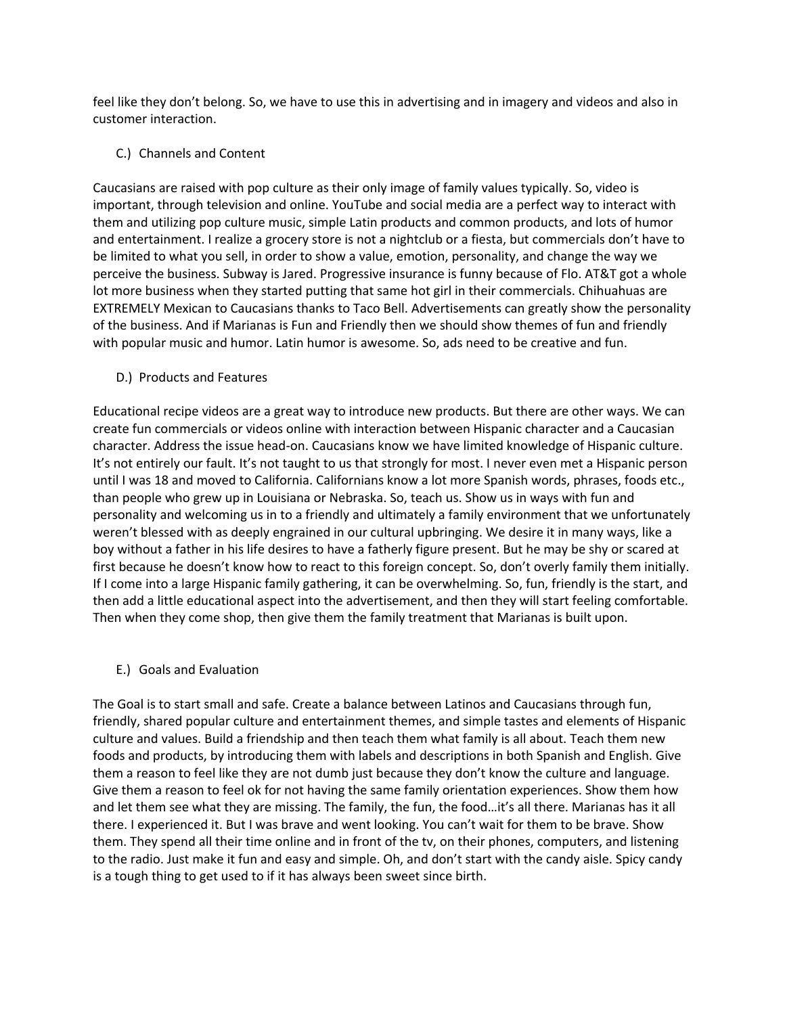feel like they don't belong. So, we have to use this in advertising and in imagery and videos and also in customer interaction.

C.) Channels and Content

Caucasians are raised with pop culture as their only image of family values typically. So, video is important, through television and online. YouTube and social media are a perfect way to interact with them and utilizing pop culture music, simple Latin products and common products, and lots of humor and entertainment. I realize a grocery store is not a nightclub or a fiesta, but commercials don't have to be limited to what you sell, in order to show a value, emotion, personality, and change the way we perceive the business. Subway is Jared. Progressive insurance is funny because of Flo. AT&T got a whole lot more business when they started putting that same hot girl in their commercials. Chihuahuas are EXTREMELY Mexican to Caucasians thanks to Taco Bell. Advertisements can greatly show the personality of the business. And if Marianas is Fun and Friendly then we should show themes of fun and friendly with popular music and humor. Latin humor is awesome. So, ads need to be creative and fun.

D.) Products and Features

Educational recipe videos are a great way to introduce new products. But there are other ways. We can create fun commercials or videos online with interaction between Hispanic character and a Caucasian character. Address the issue head-on. Caucasians know we have limited knowledge of Hispanic culture. It's not entirely our fault. It's not taught to us that strongly for most. I never even met a Hispanic person until I was 18 and moved to California. Californians know a lot more Spanish words, phrases, foods etc., than people who grew up in Louisiana or Nebraska. So, teach us. Show us in ways with fun and personality and welcoming us in to a friendly and ultimately a family environment that we unfortunately weren't blessed with as deeply engrained in our cultural upbringing. We desire it in many ways, like a boy without a father in his life desires to have a fatherly figure present. But he may be shy or scared at first because he doesn't know how to react to this foreign concept. So, don't overly family them initially. If I come into a large Hispanic family gathering, it can be overwhelming. So, fun, friendly is the start, and then add a little educational aspect into the advertisement, and then they will start feeling comfortable. Then when they come shop, then give them the family treatment that Marianas is built upon.

E.) Goals and Evaluation

The Goal is to start small and safe. Create a balance between Latinos and Caucasians through fun, friendly, shared popular culture and entertainment themes, and simple tastes and elements of Hispanic culture and values. Build a friendship and then teach them what family is all about. Teach them new foods and products, by introducing them with labels and descriptions in both Spanish and English. Give them a reason to feel like they are not dumb just because they don't know the culture and language. Give them a reason to feel ok for not having the same family orientation experiences. Show them how and let them see what they are missing. The family, the fun, the food…it's all there. Marianas has it all there. I experienced it. But I was brave and went looking. You can't wait for them to be brave. Show them. They spend all their time online and in front of the tv, on their phones, computers, and listening to the radio. Just make it fun and easy and simple. Oh, and don't start with the candy aisle. Spicy candy is a tough thing to get used to if it has always been sweet since birth.